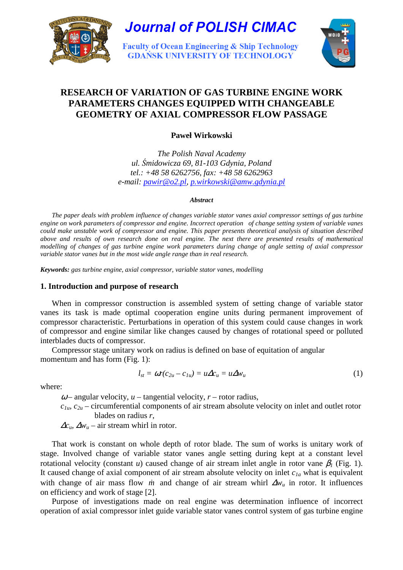

# **RESEARCH OF VARIATION OF GAS TURBINE ENGINE WORK PARAMETERS CHANGES EQUIPPED WITH CHANGEABLE GEOMETRY OF AXIAL COMPRESSOR FLOW PASSAGE**

**Paweł Wirkowski** 

*The Polish Naval Academy ul.* Ś*midowicza 69, 81-103 Gdynia, Poland tel.: +48 58 6262756, fax: +48 58 6262963 e-mail: pawir@o2.pl, p.wirkowski@amw.gdynia.pl* 

### *Abstract*

*The paper deals with problem influence of changes variable stator vanes axial compressor settings of gas turbine engine on work parameters of compressor and engine. Incorrect operation of change setting system of variable vanes could make unstable work of compressor and engine. This paper presents theoretical analysis of situation described above and results of own research done on real engine. The next there are presented results of mathematical modelling of changes of gas turbine engine work parameters during change of angle setting of axial compressor variable stator vanes but in the most wide angle range than in real research.* 

*Keywords: gas turbine engine, axial compressor, variable stator vanes, modelling* 

# **1. Introduction and purpose of research**

When in compressor construction is assembled system of setting change of variable stator vanes its task is made optimal cooperation engine units during permanent improvement of compressor characteristic. Perturbations in operation of this system could cause changes in work of compressor and engine similar like changes caused by changes of rotational speed or polluted interblades ducts of compressor.

Compressor stage unitary work on radius is defined on base of equitation of angular momentum and has form (Fig. 1):

$$
l_{st} = \omega r (c_{2u} - c_{1u}) = u \Delta c_u = u \Delta w_u \tag{1}
$$

where:

 $\omega$  – angular velocity,  $u$  – tangential velocity,  $r$  – rotor radius,

 $c_{1u}$ ,  $c_{2u}$  – circumferential components of air stream absolute velocity on inlet and outlet rotor blades on radius *r*,

 $\Delta c_u$ ,  $\Delta w_u$  – air stream whirl in rotor.

That work is constant on whole depth of rotor blade. The sum of works is unitary work of stage. Involved change of variable stator vanes angle setting during kept at a constant level rotational velocity (constant *u*) caused change of air stream inlet angle in rotor vane  $\beta$ <sup>*I*</sup> (Fig. 1). It caused change of axial component of air stream absolute velocity on inlet *c1a* what is equivalent with change of air mass flow *m* and change of air stream whirl ∆*w*<sup>*u*</sup> in rotor. It influences on efficiency and work of stage [2].

Purpose of investigations made on real engine was determination influence of incorrect operation of axial compressor inlet guide variable stator vanes control system of gas turbine engine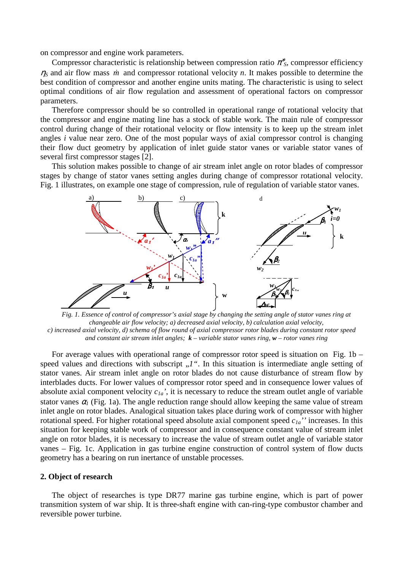on compressor and engine work parameters.

Compressor characteristic is relationship between compression ratio  $\pi^*$ <sub>S</sub>, compressor efficiency  $\eta_s$  and air flow mass *m* and compressor rotational velocity *n*. It makes possible to determine the best condition of compressor and another engine units mating. The characteristic is using to select optimal conditions of air flow regulation and assessment of operational factors on compressor parameters.

Therefore compressor should be so controlled in operational range of rotational velocity that the compressor and engine mating line has a stock of stable work. The main rule of compressor control during change of their rotational velocity or flow intensity is to keep up the stream inlet angles *i* value near zero. One of the most popular ways of axial compressor control is changing their flow duct geometry by application of inlet guide stator vanes or variable stator vanes of several first compressor stages [2].

This solution makes possible to change of air stream inlet angle on rotor blades of compressor stages by change of stator vanes setting angles during change of compressor rotational velocity. Fig. 1 illustrates, on example one stage of compression, rule of regulation of variable stator vanes.



*Fig. 1. Essence of control of compressor's axial stage by changing the setting angle of stator vanes ring at changeable air flow velocity; a) decreased axial velocity, b) calculation axial velocity, c) increased axial velocity, d) schema of flow round of axial compressor rotor blades during constant rotor speed and constant air stream inlet angles; k – variable stator vanes ring, w – rotor vanes ring* 

For average values with operational range of compressor rotor speed is situation on Fig. 1b – speed values and directions with subscript  $J''$ . In this situation is intermediate angle setting of stator vanes. Air stream inlet angle on rotor blades do not cause disturbance of stream flow by interblades ducts. For lower values of compressor rotor speed and in consequence lower values of absolute axial component velocity *c1a'*, it is necessary to reduce the stream outlet angle of variable stator vanes  $\alpha_l$  (Fig. 1a). The angle reduction range should allow keeping the same value of stream inlet angle on rotor blades. Analogical situation takes place during work of compressor with higher rotational speed. For higher rotational speed absolute axial component speed *c1a''* increases. In this situation for keeping stable work of compressor and in consequence constant value of stream inlet angle on rotor blades, it is necessary to increase the value of stream outlet angle of variable stator vanes – Fig. 1c. Application in gas turbine engine construction of control system of flow ducts geometry has a bearing on run inertance of unstable processes.

#### **2. Object of research**

The object of researches is type DR77 marine gas turbine engine, which is part of power transmition system of war ship. It is three-shaft engine with can-ring-type combustor chamber and reversible power turbine.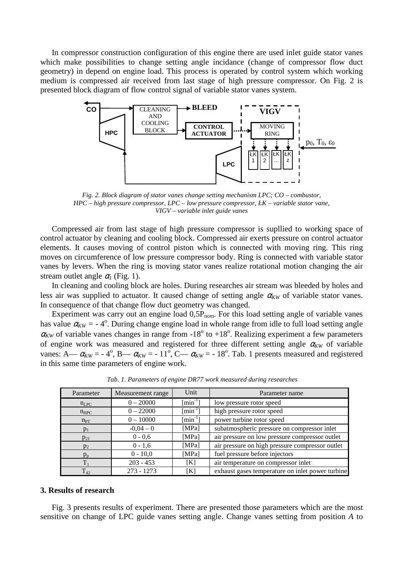In compressor construction configuration of this engine there are used inlet guide stator vanes which make possibilities to change setting angle incidance (change of compressor flow duct geometry) in depend on engine load. This process is operated by control system which working medium is compressed air received from last stage of high pressure compressor. On Fig. 2 is presented block diagram of flow control signal of variable stator vanes system.



*Fig. 2. Block diagram of stator vanes change setting mechanism LPC; CO – combustor, HPC – high pressure compressor, LPC – low pressure compressor, ŁK – variable stator vane, VIGV – variable inlet guide vanes* 

Compressed air from last stage of high pressure compressor is supllied to working space of control actuator by cleaning and cooling block. Compressed air exerts pressure on control actuator elements. It causes moving of control piston which is connected with moving ring. This ring moves on circumference of low pressure compressor body. Ring is connected with variable stator vanes by levers. When the ring is moving stator vanes realize rotational motion changing the air stream outlet angle  $\alpha_l$  (Fig. 1).

In cleaning and cooling block are holes. During researches air stream was bleeded by holes and less air was supplied to actuator. It caused change of setting angle  $\alpha_{KW}$  of variable stator vanes. In consequence of that change flow duct geometry was changed.

Experiment was carry out an engine load  $0.5P_{nom}$ . For this load setting angle of variable vanes has value  $\alpha_{\text{KW}} = -4^{\circ}$ . During change engine load in whole range from idle to full load setting angle  $\alpha_{\text{KW}}$  of variable vanes changes in range from -18<sup>o</sup> to +18<sup>o</sup>. Realizing experiment a few parameters of engine work was measured and registered for three different setting angle  $\alpha_{KW}$  of variable vanes: A— $\alpha_{KW} = -4^\circ$ , B— $\alpha_{KW} = -11^\circ$ , C— $\alpha_{KW} = -18^\circ$ . Tab. 1 presents measured and registered in this same time parameters of engine work.

| Parameter        | Measurement range | Unit                      | Parameter name                                   |
|------------------|-------------------|---------------------------|--------------------------------------------------|
| $n_{LPC}$        | $0 - 20000$       | $\lceil \min^{-1} \rceil$ | low pressure rotor speed                         |
| $n_{\text{HPC}}$ | $0 - 22000$       | $\lceil \min^{-1} \rceil$ | high pressure rotor speed                        |
| $n_{PT}$         | $0 - 10000$       | $\lceil \min^{-1} \rceil$ | power turbine rotor speed                        |
| $p_1$            | $-0.04 - 0$       | [MPa]                     | subatmospheric pressure on compressor inlet      |
| $p_{21}$         | $0 - 0, 6$        | [MPa]                     | air pressure on low pressure compressor outlet   |
| $p_2$            | $0 - 1, 6$        | [MPa]                     | air pressure on high pressure compressor outlet  |
| $p_{p}$          | $0 - 10,0$        | [MPa]                     | fuel pressure before injectors                   |
| $T_1$            | $203 - 453$       | [K]                       | air temperature on compressor inlet              |
| $T_{42}$         | $273 - 1273$      | [K]                       | exhaust gases temperature on inlet power turbine |

*Tab. 1. Parameters of engine DR77 work measured during researches* 

## **3. Results of research**

Fig. 3 presents results of experiment. There are presented those parameters which are the most sensitive on change of LPC guide vanes setting angle. Change vanes setting from position *A* to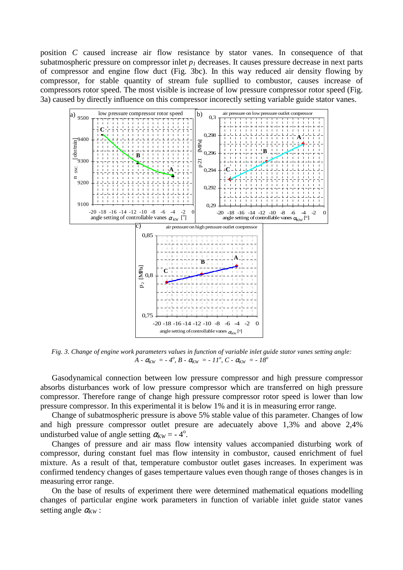position *C* caused increase air flow resistance by stator vanes. In consequence of that subatmospheric pressure on compressor inlet *p1* decreases. It causes pressure decrease in next parts of compressor and engine flow duct (Fig. 3bc). In this way reduced air density flowing by compressor, for stable quantity of stream fule supllied to combustor, causes increase of compressors rotor speed. The most visible is increase of low pressure compressor rotor speed (Fig. 3a) caused by directly influence on this compressor incorectly setting variable guide stator vanes.



*Fig. 3. Change of engine work parameters values in function of variable inlet guide stator vanes setting angle: A* -  $\alpha_{KW} = -4^o, B - \alpha_{KW} = -11^o, C - \alpha_{KW} = -18^o$ 

Gasodynamical connection between low pressure compressor and high pressure compressor absorbs disturbances work of low pressure compressor which are transferred on high pressure compressor. Therefore range of change high pressure compressor rotor speed is lower than low pressure compressor. In this experimental it is below 1% and it is in measuring error range.

Change of subatmospheric pressure is above 5% stable value of this parameter. Changes of low and high pressure compressor outlet presure are adecuately above 1,3% and above 2,4% undisturbed value of angle setting  $\alpha_{KW} = -4^{\circ}$ .

Changes of pressure and air mass flow intensity values accompanied disturbing work of compressor, during constant fuel mas flow intensity in combustor, caused enrichment of fuel mixture. As a result of that, temperature combustor outlet gases increases. In experiment was confirmed tendency changes of gases tempertaure values even though range of thoses changes is in measuring error range.

On the base of results of experiment there were determined mathematical equations modelling changes of particular engine work parameters in function of variable inlet guide stator vanes setting angle  $\alpha_{\text{KW}}$ :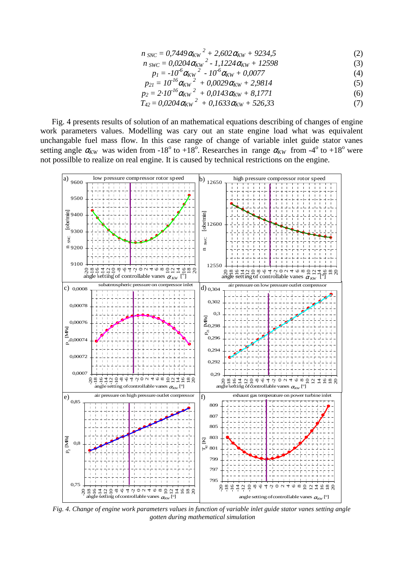$$
n_{SNC} = 0.7449 \alpha_{KW}^2 + 2.602 \alpha_{KW} + 9234.5 \tag{2}
$$

$$
n_{\text{SWC}} = 0.0204 \alpha_{\text{KW}}^2 - 1.1224 \alpha_{\text{KW}} + 12598 \tag{3}
$$

$$
p_1 = -10^6 \alpha_{\text{KW}}^2 - 10^6 \alpha_{\text{KW}} + 0.0077 \tag{4}
$$

$$
p_{21} = 10^{16} \alpha_{\text{KW}}^2 + 0.0029 \alpha_{\text{KW}} + 2.9814 \tag{5}
$$
\n
$$
p_{21} = 2.10^{16} \alpha_{\text{ZW}}^2 + 0.0143 \alpha_{\text{UV}} + 8.1771 \tag{6}
$$

$$
p_2 = 2 \cdot 10^{16} \alpha_{\text{KW}}^2 + 0.0143 \alpha_{\text{KW}} + 8.1771 \tag{6}
$$
  

$$
T = 0.0204 \alpha_{\text{AU}}^2 + 0.1633 \alpha_{\text{AU}} + 52633 \tag{7}
$$

$$
T_{42} = 0.0204 \alpha_{KW}^2 + 0.1633 \alpha_{KW} + 526.33 \tag{7}
$$

Fig. 4 presents results of solution of an mathematical equations describing of changes of engine work parameters values. Modelling was cary out an state engine load what was equivalent unchangable fuel mass flow. In this case range of change of variable inlet guide stator vanes setting angle  $\alpha_{KW}$  was widen from -18<sup>o</sup> to +18<sup>o</sup>. Researches in range  $\alpha_{KW}$  from -4<sup>o</sup> to +18<sup>o</sup> were not possilble to realize on real engine. It is caused by technical restrictions on the engine.



*Fig. 4. Change of engine work parameters values in function of variable inlet guide stator vanes setting angle gotten during mathematical simulation*